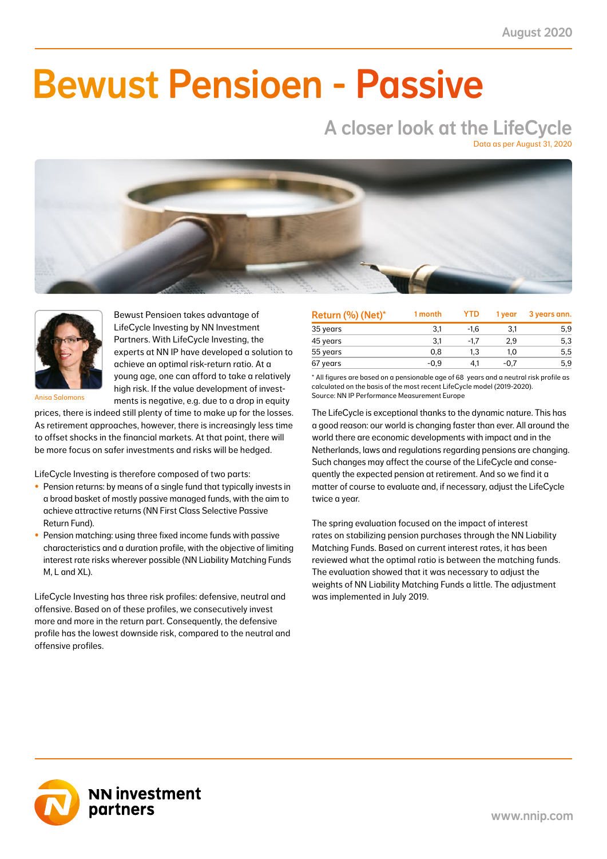NN First Class Selective Passive Return Fund 4.1 1.6 -2.8 -1.2 3.7 1.4 5.4 2.2 17.0 6.9 41.0

### NN Liability Matching Fund M -0.3 -0.1 0.8 0.3 -1.1 -0.4 1.0 0.4 2.9 1.2 38.0  $\blacksquare$ NN Liability Matching Fund XL -7.5 -1.0 21.2 2.3 -1.8 -0.2 21.3 2.3 78.5 7.2 11.0 Bewust Pensioen - Passive

# A closer look at the LifeCycle

Data as per August 31, 2020





Bewust Pensioen takes advantage of LifeCycle Investing by NN Investment Partners. With LifeCycle Investing, the experts at NN IP have developed a solution to achieve an optimal risk-return ratio. At a young age, one can afford to take a relatively high risk. If the value development of investments is negative, e.g. due to a drop in equity

Anisa Salomons

prices, there is indeed still plenty of time to make up for the losses. As retirement approaches, however, there is increasingly less time to offset shocks in the financial markets. At that point, there will be more focus on safer investments and risks will be hedged.

LifeCycle Investing is therefore composed of two parts:

- Pension returns: by means of a single fund that typically invests in a broad basket of mostly passive managed funds, with the aim to achieve attractive returns (NN First Class Selective Passive Return Fund).
- Pension matching: using three fixed income funds with passive characteristics and a duration profile, with the objective of limiting interest rate risks wherever possible (NN Liability Matching Funds M, L and XL).

LifeCycle Investing has three risk profiles: defensive, neutral and offensive. Based on of these profiles, we consecutively invest more and more in the return part. Consequently, the defensive profile has the lowest downside risk, compared to the neutral and offensive profiles.

| Return (%) (Net)* | 1 month | <b>YTD</b> | 1 year | 3 years ann. |
|-------------------|---------|------------|--------|--------------|
| 35 years          | 3.1     | $-1.6$     | 3.1    | 5.9          |
| 45 years          | 3.1     | $-1.7$     | 2.9    | 5,3          |
| 55 years          | 0.8     | 1.3        | 1.0    | 5,5          |
| 67 years          | $-0.9$  | 4.1        | -0.7   | 5.9          |

\* All figures are based on a pensionable age of 68 years and a neutral risk profile as calculated on the basis of the most recent LifeCycle model (2019-2020). Source: NN IP Performance Measurement Europe

The LifeCycle is exceptional thanks to the dynamic nature. This has a good reason: our world is changing faster than ever. All around the world there are economic developments with impact and in the Netherlands, laws and regulations regarding pensions are changing. Such changes may affect the course of the LifeCycle and consequently the expected pension at retirement. And so we find it a matter of course to evaluate and, if necessary, adjust the LifeCycle twice a year.

The spring evaluation focused on the impact of interest rates on stabilizing pension purchases through the NN Liability Matching Funds. Based on current interest rates, it has been reviewed what the optimal ratio is between the matching funds. The evaluation showed that it was necessary to adjust the weights of NN Liability Matching Funds a little. The adjustment was implemented in July 2019.

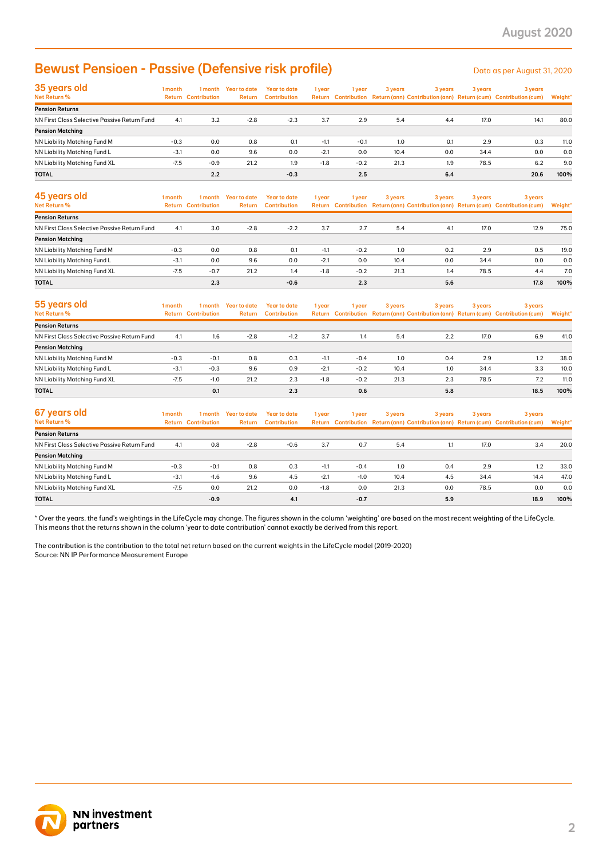### Bewust Pensioen - Passive (Defensive risk profile)

| 35 years old<br>Net Return %                 | 1 month | 1 month<br><b>Return Contribution</b> | Year to date<br><b>Return</b> | <b>Year to date</b><br><b>Contribution</b> | 1 year | 1 year | 3 years | 3 years | 3 years | 3 years<br>Return Contribution Return (ann) Contribution (ann) Return (cum) Contribution (cum) | Weight* |
|----------------------------------------------|---------|---------------------------------------|-------------------------------|--------------------------------------------|--------|--------|---------|---------|---------|------------------------------------------------------------------------------------------------|---------|
| <b>Pension Returns</b>                       |         |                                       |                               |                                            |        |        |         |         |         |                                                                                                |         |
| NN First Class Selective Passive Return Fund | 4.1     | 3.2                                   | $-2.8$                        | $-2.3$                                     | 3.7    | 2.9    | 5.4     | 4.4     | 17.0    | 14.1                                                                                           | 80.0    |
| <b>Pension Matching</b>                      |         |                                       |                               |                                            |        |        |         |         |         |                                                                                                |         |
| NN Liability Matching Fund M                 | $-0.3$  | 0.0                                   | 0.8                           | 0.1                                        | $-1.1$ | $-0.1$ | 1.0     | 0.1     | 2.9     | 0.3                                                                                            | 11.0    |
| NN Liability Matching Fund L                 | $-3.1$  | 0.0                                   | 9.6                           | 0.0                                        | $-2.1$ | 0.0    | 10.4    | 0.0     | 34.4    | 0.0                                                                                            | 0.0     |
| NN Liability Matching Fund XL                | $-7.5$  | $-0.9$                                | 21.2                          | 1.9                                        | $-1.8$ | $-0.2$ | 21.3    | 1.9     | 78.5    | 6.2                                                                                            | 9.0     |
| <b>TOTAL</b>                                 |         | 2.2                                   |                               | $-0.3$                                     |        | 2.5    |         | 6.4     |         | 20.6                                                                                           | 100%    |

| <b>Bewust Pensioen - Passive (Defensive risk profile)</b>                                                                                                                                                                                                                                               |         |                                       |                                |                                            |        |        |         |         |         | Data as per August 31, 2020                                                                    |         |
|---------------------------------------------------------------------------------------------------------------------------------------------------------------------------------------------------------------------------------------------------------------------------------------------------------|---------|---------------------------------------|--------------------------------|--------------------------------------------|--------|--------|---------|---------|---------|------------------------------------------------------------------------------------------------|---------|
| 35 years old<br>Net Return %                                                                                                                                                                                                                                                                            | 1 month | <b>Return Contribution</b>            | 1 month Year to date<br>Return | <b>Year to date</b><br><b>Contribution</b> | 1 year | 1 year | 3 years | 3 years | 3 years | 3 years<br>Return Contribution Return (ann) Contribution (ann) Return (cum) Contribution (cum) | Weight' |
| <b>Pension Returns</b>                                                                                                                                                                                                                                                                                  |         |                                       |                                |                                            |        |        |         |         |         |                                                                                                |         |
| NN First Class Selective Passive Return Fund                                                                                                                                                                                                                                                            | 4.1     | 3.2                                   | $-2.8$                         | $-2.3$                                     | 3.7    | 2.9    | 5.4     | 4.4     | 17.0    | 14.1                                                                                           | 80.0    |
| <b>Pension Matching</b>                                                                                                                                                                                                                                                                                 |         |                                       |                                |                                            |        |        |         |         |         |                                                                                                |         |
| NN Liability Matching Fund M                                                                                                                                                                                                                                                                            | $-0.3$  | 0.0                                   | 0.8                            | 0.1                                        | $-1.1$ | $-0.1$ | 1.0     | 0.1     | 2.9     | 0.3                                                                                            | 11.0    |
| NN Liability Matching Fund L                                                                                                                                                                                                                                                                            | $-3.1$  | 0.0                                   | 9.6                            | 0.0                                        | $-2.1$ | 0.0    | 10.4    | 0.0     | 34.4    | 0.0                                                                                            | 0.0     |
| NN Liability Matching Fund XL                                                                                                                                                                                                                                                                           | $-7.5$  | $-0.9$                                | 21.2                           | 1.9                                        | $-1.8$ | $-0.2$ | 21.3    | 1.9     | 78.5    | 6.2                                                                                            | 9.0     |
| <b>TOTAL</b>                                                                                                                                                                                                                                                                                            |         | 2.2                                   |                                | $-0.3$                                     |        | 2.5    |         | 6.4     |         | 20.6                                                                                           | 100%    |
| 45 years old<br>Net Return %                                                                                                                                                                                                                                                                            | 1 month | 1 month<br><b>Return Contribution</b> | <b>Year to date</b><br>Return  | <b>Year to date</b><br><b>Contribution</b> | 1 year | 1 year | 3 years | 3 years | 3 years | 3 years<br>Return Contribution Return (ann) Contribution (ann) Return (cum) Contribution (cum) | Weight' |
| <b>Pension Returns</b>                                                                                                                                                                                                                                                                                  |         |                                       |                                |                                            |        |        |         |         |         |                                                                                                |         |
| NN First Class Selective Passive Return Fund                                                                                                                                                                                                                                                            | 4.1     | 3.0                                   | $-2.8$                         | $-2.2$                                     | 3.7    | 2.7    | 5.4     | 4.1     | 17.0    | 12.9                                                                                           | 75.0    |
| <b>Pension Matching</b>                                                                                                                                                                                                                                                                                 |         |                                       |                                |                                            |        |        |         |         |         |                                                                                                |         |
| NN Liability Matching Fund M                                                                                                                                                                                                                                                                            | $-0.3$  | 0.0                                   | 0.8                            | 0.1                                        | $-1.1$ | $-0.2$ | 1.0     | 0.2     | 2.9     | 0.5                                                                                            | 19.0    |
| NN Liability Matching Fund L                                                                                                                                                                                                                                                                            | $-3.1$  | 0.0                                   | 9.6                            | 0.0                                        | $-2.1$ | 0.0    | 10.4    | 0.0     | 34.4    | 0.0                                                                                            | 0.0     |
| NN Liability Matching Fund XL                                                                                                                                                                                                                                                                           | $-7.5$  | $-0.7$                                | 21.2                           | 1.4                                        | $-1.8$ | $-0.2$ | 21.3    | 1.4     | 78.5    | 4.4                                                                                            | 7.0     |
| <b>TOTAL</b>                                                                                                                                                                                                                                                                                            |         | 2.3                                   |                                | $-0.6$                                     |        | 2.3    |         | 5.6     |         | 17.8                                                                                           | 100%    |
| 55 years old<br>Net Return %                                                                                                                                                                                                                                                                            | 1 month | 1 month<br><b>Return Contribution</b> | <b>Year to date</b><br>Return  | <b>Year to date</b><br><b>Contribution</b> | 1 year | 1 year | 3 years | 3 years | 3 years | 3 years<br>Return Contribution Return (ann) Contribution (ann) Return (cum) Contribution (cum) | Weight* |
| <b>Pension Returns</b>                                                                                                                                                                                                                                                                                  |         |                                       |                                |                                            |        |        |         |         |         |                                                                                                |         |
| NN First Class Selective Passive Return Fund                                                                                                                                                                                                                                                            | 4.1     | 1.6                                   | $-2.8$                         | $-1.2$                                     | 3.7    | 1.4    | 5.4     | 2.2     | 17.0    | 6.9                                                                                            | 41.0    |
| <b>Pension Matching</b>                                                                                                                                                                                                                                                                                 |         |                                       |                                |                                            |        |        |         |         |         |                                                                                                |         |
| NN Liability Matching Fund M                                                                                                                                                                                                                                                                            | $-0.3$  | $-0.1$                                | 0.8                            | 0.3                                        | $-1.1$ | $-0.4$ | 1.0     | 0.4     | 2.9     | 1.2                                                                                            | 38.0    |
| NN Liability Matching Fund L                                                                                                                                                                                                                                                                            | $-3.1$  | $-0.3$                                | 9.6                            | 0.9                                        | $-2.1$ | $-0.2$ | 10.4    | 1.0     | 34.4    | 3.3                                                                                            | 10.0    |
| NN Liability Matching Fund XL                                                                                                                                                                                                                                                                           | $-7.5$  | $-1.0$                                | 21.2                           | 2.3                                        | $-1.8$ | $-0.2$ | 21.3    | 2.3     | 78.5    | 7.2                                                                                            | 11.0    |
| <b>TOTAL</b>                                                                                                                                                                                                                                                                                            |         | 0.1                                   |                                | 2.3                                        |        | 0.6    |         | 5.8     |         | 18.5                                                                                           | 100%    |
| 67 years old<br>Net Return %                                                                                                                                                                                                                                                                            | 1 month | 1 month<br><b>Return Contribution</b> | <b>Year to date</b><br>Return  | <b>Year to date</b><br><b>Contribution</b> | 1 year | 1 year | 3 years | 3 years | 3 years | 3 years<br>Return Contribution Return (ann) Contribution (ann) Return (cum) Contribution (cum) | Weight' |
| <b>Pension Returns</b>                                                                                                                                                                                                                                                                                  |         |                                       |                                |                                            |        |        |         |         |         |                                                                                                |         |
| NN First Class Selective Passive Return Fund                                                                                                                                                                                                                                                            | 4.1     | 0.8                                   | $-2.8$                         | $-0.6$                                     | 3.7    | 0.7    | 5.4     | 1.1     | 17.0    | 3.4                                                                                            | 20.0    |
| <b>Pension Matching</b>                                                                                                                                                                                                                                                                                 |         |                                       |                                |                                            |        |        |         |         |         |                                                                                                |         |
| NN Liability Matching Fund M                                                                                                                                                                                                                                                                            | $-0.3$  | $-0.1$                                | 0.8                            | 0.3                                        | $-1.1$ | $-0.4$ | 1.0     | 0.4     | 2.9     | 1.2                                                                                            | 33.0    |
| NN Liability Matching Fund L                                                                                                                                                                                                                                                                            | $-3.1$  | $-1.6$                                | 9.6                            | 4.5                                        | $-2.1$ | $-1.0$ | 10.4    | 4.5     | 34.4    | 14.4                                                                                           | 47.0    |
| NN Liability Matching Fund XL                                                                                                                                                                                                                                                                           | $-7.5$  | 0.0                                   | 21.2                           | 0.0                                        | $-1.8$ | 0.0    | 21.3    | 0.0     | 78.5    | 0.0                                                                                            | 0.0     |
| <b>TOTAL</b>                                                                                                                                                                                                                                                                                            |         | $-0.9$                                |                                | 4.1                                        |        | $-0.7$ |         | 5.9     |         | 18.9                                                                                           | 100%    |
| This means that the returns shown in the column 'year to date contribution' cannot exactly be derived from this report.<br>The contribution is the contribution to the total net return based on the current weights in the LifeCycle model (2019-2020)<br>Source: NN IP Performance Measurement Europe |         |                                       |                                |                                            |        |        |         |         |         |                                                                                                |         |
| <b>NN investment</b><br>partners                                                                                                                                                                                                                                                                        |         |                                       |                                |                                            |        |        |         |         |         |                                                                                                |         |

| 55 years old                                 | 1 month | 1 month                    | <b>Year to date</b> | <b>Year to date</b> | 1 year | 1 year | 3 years | 3 years |      | 3 years                                                                             | 3 years |  |
|----------------------------------------------|---------|----------------------------|---------------------|---------------------|--------|--------|---------|---------|------|-------------------------------------------------------------------------------------|---------|--|
| <b>Net Return %</b>                          |         | <b>Return Contribution</b> | <b>Return</b>       | <b>Contribution</b> |        |        |         |         |      | Return Contribution Return (ann) Contribution (ann) Return (cum) Contribution (cum) | Weight* |  |
| <b>Pension Returns</b>                       |         |                            |                     |                     |        |        |         |         |      |                                                                                     |         |  |
| NN First Class Selective Passive Return Fund | 4.1     | 1.6                        | $-2.8$              | $-1.2$              | 3.7    | 1.4    | 5.4     | 2.2     | 17.0 | 6.9                                                                                 | 41.0    |  |
| <b>Pension Matching</b>                      |         |                            |                     |                     |        |        |         |         |      |                                                                                     |         |  |
| NN Liability Matching Fund M                 | $-0.3$  | $-0.1$                     | 0.8                 | 0.3                 | $-1.1$ | $-0.4$ | 1.0     | 0.4     | 2.9  | 1.2                                                                                 | 38.0    |  |
| NN Liability Matching Fund L                 | $-3.1$  | $-0.3$                     | 9.6                 | 0.9                 | $-2.1$ | $-0.2$ | 10.4    | 1.0     | 34.4 | 3.3                                                                                 | 10.0    |  |
| NN Liability Matching Fund XL                | $-7.5$  | $-1.0$                     | 21.2                | 2.3                 | $-1.8$ | $-0.2$ | 21.3    | 2.3     | 78.5 | 7.2                                                                                 | 11.0    |  |
| <b>TOTAL</b>                                 |         | 0.1                        |                     | 2.3                 |        | 0.6    |         | 5.8     |      | 18.5                                                                                | 100%    |  |

| 67 years old<br>Net Return %                 | 1 month | 1 month                    | <b>Year to date</b> | Year to date        | 1 year | 1 year | 3 years | 3 years | 3 years | 3 years                                                                             |         |
|----------------------------------------------|---------|----------------------------|---------------------|---------------------|--------|--------|---------|---------|---------|-------------------------------------------------------------------------------------|---------|
|                                              |         | <b>Return Contribution</b> | <b>Return</b>       | <b>Contribution</b> |        |        |         |         |         | Return Contribution Return (ann) Contribution (ann) Return (cum) Contribution (cum) | Weight* |
| <b>Pension Returns</b>                       |         |                            |                     |                     |        |        |         |         |         |                                                                                     |         |
| NN First Class Selective Passive Return Fund | 4.1     | 0.8                        | $-2.8$              | $-0.6$              | 3.7    | 0.7    | 5.4     |         | 17.0    | 3.4                                                                                 | 20.0    |
| <b>Pension Matching</b>                      |         |                            |                     |                     |        |        |         |         |         |                                                                                     |         |
| NN Liability Matching Fund M                 | $-0.3$  | $-0.1$                     | 0.8                 | 0.3                 | $-1.1$ | $-0.4$ | 1.0     | 0.4     | 2.9     | 1.2                                                                                 | 33.0    |
| NN Liability Matching Fund L                 | $-3.1$  | $-1.6$                     | 9.6                 | 4.5                 | $-2.1$ | $-1.0$ | 10.4    | 4.5     | 34.4    | 14.4                                                                                | 47.0    |
| NN Liability Matching Fund XL                | $-7.5$  | 0.0                        | 21.2                | 0.0                 | $-1.8$ | 0.0    | 21.3    | 0.0     | 78.5    | 0.0                                                                                 | 0.0     |
| <b>TOTAL</b>                                 |         | $-0.9$                     |                     | 4.1                 |        | $-0.7$ |         | 5.9     |         | 18.9                                                                                | 100%    |

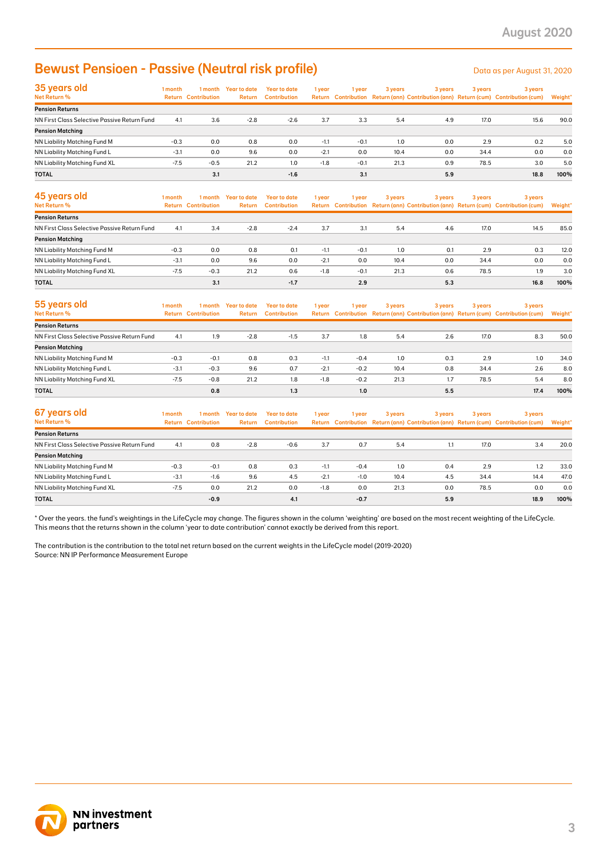### **Bewust Pensioen - Passive (Neutral risk profile)** Desetive the Data as per August 31, 2020

| 35 years old<br>Net Return %                 | 1 month | 1 month<br><b>Return Contribution</b> | Year to date<br>Return | Year to date<br><b>Contribution</b> | 1 year | 1 year | 3 years | 3 years | 3 years | 3 years<br>Return Contribution Return (ann) Contribution (ann) Return (cum) Contribution (cum) | Weight* |
|----------------------------------------------|---------|---------------------------------------|------------------------|-------------------------------------|--------|--------|---------|---------|---------|------------------------------------------------------------------------------------------------|---------|
| <b>Pension Returns</b>                       |         |                                       |                        |                                     |        |        |         |         |         |                                                                                                |         |
| NN First Class Selective Passive Return Fund | 4.1     | 3.6                                   | $-2.8$                 | $-2.6$                              | 3.7    | 3.3    | 5.4     | 4.9     | 17.0    | 15.6                                                                                           | 90.0    |
| <b>Pension Matching</b>                      |         |                                       |                        |                                     |        |        |         |         |         |                                                                                                |         |
| NN Liability Matching Fund M                 | $-0.3$  | 0.0                                   | 0.8                    | 0.0                                 | $-1.1$ | $-0.1$ | 1.0     | 0.0     | 2.9     | 0.2                                                                                            | 5.0     |
| NN Liability Matching Fund L                 | $-3.1$  | 0.0                                   | 9.6                    | 0.0                                 | $-2.1$ | 0.0    | 10.4    | 0.0     | 34.4    | 0.0                                                                                            | 0.0     |
| NN Liability Matching Fund XL                | $-7.5$  | $-0.5$                                | 21.2                   | 1.0                                 | $-1.8$ | $-0.1$ | 21.3    | 0.9     | 78.5    | 3.0                                                                                            | 5.0     |
| <b>TOTAL</b>                                 |         | 3.1                                   |                        | $-1.6$                              |        | 3.1    |         | 5.9     |         | 18.8                                                                                           | 100%    |

| <b>Bewust Pensioen - Passive (Neutral risk profile)</b>                                                                                                                                                                                                                                                 |         |                                       |                                |                                            |        |        |         |         |         | Data as per August 31, 2020                                                                    |                |
|---------------------------------------------------------------------------------------------------------------------------------------------------------------------------------------------------------------------------------------------------------------------------------------------------------|---------|---------------------------------------|--------------------------------|--------------------------------------------|--------|--------|---------|---------|---------|------------------------------------------------------------------------------------------------|----------------|
| 35 years old<br>Net Return %                                                                                                                                                                                                                                                                            | 1 month | <b>Return Contribution</b>            | 1 month Year to date<br>Return | <b>Year to date</b><br><b>Contribution</b> | 1 year | 1 year | 3 years | 3 years | 3 years | 3 years<br>Return Contribution Return (ann) Contribution (ann) Return (cum) Contribution (cum) | Weight'        |
| <b>Pension Returns</b>                                                                                                                                                                                                                                                                                  |         |                                       |                                |                                            |        |        |         |         |         |                                                                                                |                |
| NN First Class Selective Passive Return Fund<br><b>Pension Matching</b>                                                                                                                                                                                                                                 | 4.1     | 3.6                                   | $-2.8$                         | $-2.6$                                     | 3.7    | 3.3    | 5.4     | 4.9     | 17.0    | 15.6                                                                                           | 90.0           |
| NN Liability Matching Fund M                                                                                                                                                                                                                                                                            | $-0.3$  | 0.0                                   | 0.8                            | 0.0                                        | $-1.1$ | $-0.1$ | 1.0     | 0.0     | 2.9     | 0.2                                                                                            | 5.0            |
| NN Liability Matching Fund L                                                                                                                                                                                                                                                                            | $-3.1$  | 0.0                                   | 9.6                            | 0.0                                        | $-2.1$ | 0.0    | 10.4    | 0.0     | 34.4    | 0.0                                                                                            | 0.0            |
| NN Liability Matching Fund XL                                                                                                                                                                                                                                                                           | $-7.5$  | $-0.5$                                | 21.2                           | 1.0                                        | $-1.8$ | $-0.1$ | 21.3    | 0.9     | 78.5    | 3.0                                                                                            | 5.0            |
| TOTAL                                                                                                                                                                                                                                                                                                   |         | 3.1                                   |                                | $-1.6$                                     |        | 3.1    |         | 5.9     |         | 18.8                                                                                           | 100%           |
| 45 years old<br>Net Return %                                                                                                                                                                                                                                                                            | 1 month | 1 month<br><b>Return Contribution</b> | <b>Year to date</b><br>Return  | <b>Year to date</b><br><b>Contribution</b> | 1 year | 1 year | 3 years | 3 years | 3 years | 3 years<br>Return Contribution Return (ann) Contribution (ann) Return (cum) Contribution (cum) | <b>Weight'</b> |
| <b>Pension Returns</b>                                                                                                                                                                                                                                                                                  |         |                                       |                                |                                            |        |        |         |         |         |                                                                                                |                |
| NN First Class Selective Passive Return Fund                                                                                                                                                                                                                                                            | 4.1     | 3.4                                   | $-2.8$                         | $-2.4$                                     | 3.7    | 3.1    | 5.4     | 4.6     | 17.0    | 14.5                                                                                           | 85.0           |
| <b>Pension Matching</b>                                                                                                                                                                                                                                                                                 |         |                                       |                                |                                            |        |        |         |         |         |                                                                                                |                |
| NN Liability Matching Fund M                                                                                                                                                                                                                                                                            | $-0.3$  | 0.0                                   | 0.8                            | 0.1                                        | $-1.1$ | $-0.1$ | 1.0     | 0.1     | 2.9     | 0.3                                                                                            | 12.0           |
| NN Liability Matching Fund L                                                                                                                                                                                                                                                                            | $-3.1$  | 0.0                                   | 9.6                            | 0.0                                        | $-2.1$ | 0.0    | 10.4    | 0.0     | 34.4    | 0.0                                                                                            | 0.0            |
| NN Liability Matching Fund XL                                                                                                                                                                                                                                                                           | $-7.5$  | $-0.3$                                | 21.2                           | 0.6                                        | $-1.8$ | $-0.1$ | 21.3    | 0.6     | 78.5    | 1.9                                                                                            | 3.0            |
| <b>TOTAL</b>                                                                                                                                                                                                                                                                                            |         | 3.1                                   |                                | $-1.7$                                     |        | 2.9    |         | 5.3     |         | 16.8                                                                                           | 100%           |
| 55 years old<br><b>Net Return %</b>                                                                                                                                                                                                                                                                     | 1 month | 1 month<br><b>Return Contribution</b> | <b>Year to date</b><br>Return  | <b>Year to date</b><br><b>Contribution</b> | 1 year | 1 year | 3 years | 3 years | 3 years | 3 years<br>Return Contribution Return (ann) Contribution (ann) Return (cum) Contribution (cum) | <b>Weight</b>  |
| <b>Pension Returns</b>                                                                                                                                                                                                                                                                                  |         |                                       |                                |                                            |        |        |         |         |         |                                                                                                |                |
| NN First Class Selective Passive Return Fund                                                                                                                                                                                                                                                            | 4.1     | 1.9                                   | $-2.8$                         | $-1.5$                                     | 3.7    | 1.8    | 5.4     | 2.6     | 17.0    | 8.3                                                                                            | 50.0           |
| <b>Pension Matching</b>                                                                                                                                                                                                                                                                                 |         |                                       |                                |                                            |        |        |         |         |         |                                                                                                |                |
| NN Liability Matching Fund M                                                                                                                                                                                                                                                                            | $-0.3$  | $-0.1$                                | 0.8                            | 0.3                                        | $-1.1$ | $-0.4$ | 1.0     | 0.3     | 2.9     | 1.0                                                                                            | 34.0           |
| NN Liability Matching Fund L                                                                                                                                                                                                                                                                            | $-3.1$  | $-0.3$                                | 9.6                            | 0.7                                        | $-2.1$ | $-0.2$ | 10.4    | 0.8     | 34.4    | 2.6                                                                                            | 8.0            |
| NN Liability Matching Fund XL                                                                                                                                                                                                                                                                           | $-7.5$  | $-0.8$                                | 21.2                           | 1.8                                        | $-1.8$ | $-0.2$ | 21.3    | 1.7     | 78.5    | 5.4                                                                                            | 8.0            |
| <b>TOTAL</b>                                                                                                                                                                                                                                                                                            |         | 0.8                                   |                                | 1.3                                        |        | 1.0    |         | 5.5     |         | 17.4                                                                                           | 100%           |
| 67 years old<br>Net Return %                                                                                                                                                                                                                                                                            | 1 month | 1 month<br><b>Return Contribution</b> | Year to date<br>Return         | <b>Year to date</b><br><b>Contribution</b> | 1 year | 1 year | 3 years | 3 years | 3 years | 3 years<br>Return Contribution Return (ann) Contribution (ann) Return (cum) Contribution (cum) | Weight'        |
| <b>Pension Returns</b>                                                                                                                                                                                                                                                                                  |         |                                       |                                |                                            |        |        |         |         |         |                                                                                                |                |
| NN First Class Selective Passive Return Fund                                                                                                                                                                                                                                                            | 4.1     | 0.8                                   | $-2.8$                         | $-0.6$                                     | 3.7    | 0.7    | 5.4     | 1.1     | 17.0    | 3.4                                                                                            | 20.0           |
| <b>Pension Matching</b>                                                                                                                                                                                                                                                                                 |         |                                       |                                |                                            |        |        |         |         |         |                                                                                                |                |
| NN Liability Matching Fund M                                                                                                                                                                                                                                                                            | $-0.3$  | $-0.1$                                | 0.8                            | 0.3                                        | $-1.1$ | $-0.4$ | 1.0     | 0.4     | 2.9     | 1.2                                                                                            | 33.0           |
| NN Liability Matching Fund L                                                                                                                                                                                                                                                                            | $-3.1$  | $-1.6$                                | 9.6                            | 4.5                                        | $-2.1$ | $-1.0$ | 10.4    | 4.5     | 34.4    | 14.4                                                                                           | 47.0           |
| NN Liability Matching Fund XL                                                                                                                                                                                                                                                                           | $-7.5$  | 0.0                                   | 21.2                           | 0.0                                        | $-1.8$ | 0.0    | 21.3    | 0.0     | 78.5    | 0.0                                                                                            | 0.0            |
| TOTAL<br>* Over the years. the fund's weightings in the LifeCycle may change. The figures shown in the column 'weighting' are based on the most recent weighting of the LifeCycle.                                                                                                                      |         | $-0.9$                                |                                | 4.1                                        |        | $-0.7$ |         | 5.9     |         | 18.9                                                                                           | 100%           |
| This means that the returns shown in the column 'year to date contribution' cannot exactly be derived from this report.<br>The contribution is the contribution to the total net return based on the current weights in the LifeCycle model (2019-2020)<br>Source: NN IP Performance Measurement Europe |         |                                       |                                |                                            |        |        |         |         |         |                                                                                                |                |
| <b>NN investment</b><br>partners                                                                                                                                                                                                                                                                        |         |                                       |                                |                                            |        |        |         |         |         |                                                                                                | 3              |

| 55 years old                                 | 1 month | 1 month                    | <b>Year to date</b> | Year to date        | 1 year | 1 year | 3 years | 3 years |      | 3 years                                                                             | 3 years |  |
|----------------------------------------------|---------|----------------------------|---------------------|---------------------|--------|--------|---------|---------|------|-------------------------------------------------------------------------------------|---------|--|
| Net Return %                                 |         | <b>Return Contribution</b> | Return              | <b>Contribution</b> |        |        |         |         |      | Return Contribution Return (ann) Contribution (ann) Return (cum) Contribution (cum) | Weight* |  |
| <b>Pension Returns</b>                       |         |                            |                     |                     |        |        |         |         |      |                                                                                     |         |  |
| NN First Class Selective Passive Return Fund | 4.1     | 1.9                        | $-2.8$              | $-1.5$              | 3.7    | 1.8    | 5.4     | 2.6     | 17.0 | 8.3                                                                                 | 50.0    |  |
| <b>Pension Matching</b>                      |         |                            |                     |                     |        |        |         |         |      |                                                                                     |         |  |
| NN Liability Matching Fund M                 | $-0.3$  | $-0.1$                     | 0.8                 | 0.3                 | $-1.1$ | $-0.4$ | 1.0     | 0.3     | 2.9  | 1.0                                                                                 | 34.0    |  |
| NN Liability Matching Fund L                 | $-3.1$  | $-0.3$                     | 9.6                 | 0.7                 | $-2.1$ | $-0.2$ | 10.4    | 0.8     | 34.4 | 2.6                                                                                 | 8.0     |  |
| NN Liability Matching Fund XL                | $-7.5$  | $-0.8$                     | 21.2                | 1.8                 | $-1.8$ | $-0.2$ | 21.3    | 1.7     | 78.5 | 5.4                                                                                 | 8.0     |  |
| <b>TOTAL</b>                                 |         | 0.8                        |                     | 1.3                 |        | 1.0    |         | 5.5     |      | 17.4                                                                                | 100%    |  |

| 67 years old                                 | 1 month | 1 month                    | <b>Year to date</b> | Year to date        | 1 year | 1 year | 3 years | 3 years | 3 years | 3 years                                                                             |         |
|----------------------------------------------|---------|----------------------------|---------------------|---------------------|--------|--------|---------|---------|---------|-------------------------------------------------------------------------------------|---------|
| Net Return %                                 |         | <b>Return Contribution</b> | Return              | <b>Contribution</b> |        |        |         |         |         | Return Contribution Return (ann) Contribution (ann) Return (cum) Contribution (cum) | Weight* |
| <b>Pension Returns</b>                       |         |                            |                     |                     |        |        |         |         |         |                                                                                     |         |
| NN First Class Selective Passive Return Fund | 4.1     | 0.8                        | $-2.8$              | $-0.6$              | 3.7    | 0.7    | 5.4     | 1.1     | 17.0    | 3.4                                                                                 | 20.0    |
| <b>Pension Matching</b>                      |         |                            |                     |                     |        |        |         |         |         |                                                                                     |         |
| NN Liability Matching Fund M                 | $-0.3$  | $-0.1$                     | 0.8                 | 0.3                 | $-1.1$ | $-0.4$ | 1.0     | 0.4     | 2.9     | 1.2                                                                                 | 33.0    |
| NN Liability Matching Fund L                 | $-3.1$  | $-1.6$                     | 9.6                 | 4.5                 | $-2.1$ | $-1.0$ | 10.4    | 4.5     | 34.4    | 14.4                                                                                | 47.0    |
| NN Liability Matching Fund XL                | $-7.5$  | 0.0                        | 21.2                | 0.0                 | $-1.8$ | 0.0    | 21.3    | 0.0     | 78.5    | 0.0                                                                                 | 0.0     |
| <b>TOTAL</b>                                 |         | $-0.9$                     |                     | 4.1                 |        | $-0.7$ |         | 5.9     |         | 18.9                                                                                | 100%    |